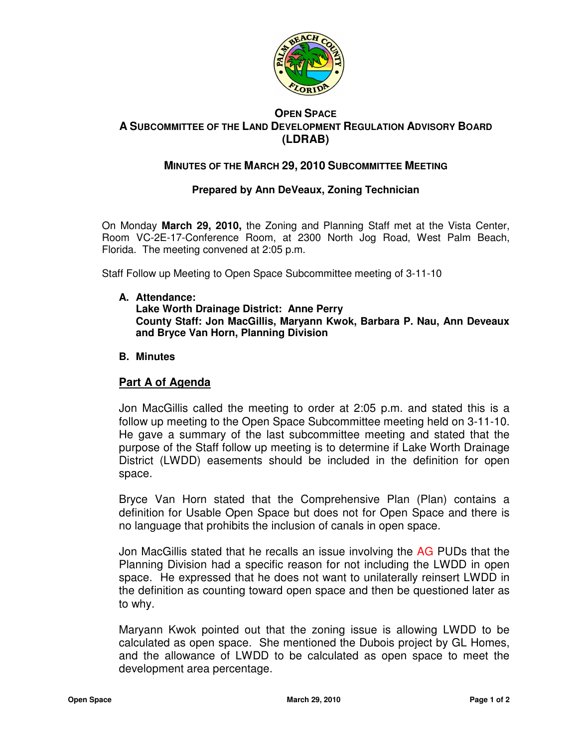

## **OPEN SPACE A SUBCOMMITTEE OF THE LAND DEVELOPMENT REGULATION ADVISORY BOARD (LDRAB)**

# **MINUTES OF THE MARCH 29, 2010 SUBCOMMITTEE MEETING**

### **Prepared by Ann DeVeaux, Zoning Technician**

On Monday **March 29, 2010,** the Zoning and Planning Staff met at the Vista Center, Room VC-2E-17-Conference Room, at 2300 North Jog Road, West Palm Beach, Florida. The meeting convened at 2:05 p.m.

Staff Follow up Meeting to Open Space Subcommittee meeting of 3-11-10

**A. Attendance:** 

**Lake Worth Drainage District: Anne Perry County Staff: Jon MacGillis, Maryann Kwok, Barbara P. Nau, Ann Deveaux and Bryce Van Horn, Planning Division** 

#### **B. Minutes**

### **Part A of Agenda**

Jon MacGillis called the meeting to order at 2:05 p.m. and stated this is a follow up meeting to the Open Space Subcommittee meeting held on 3-11-10. He gave a summary of the last subcommittee meeting and stated that the purpose of the Staff follow up meeting is to determine if Lake Worth Drainage District (LWDD) easements should be included in the definition for open space.

Bryce Van Horn stated that the Comprehensive Plan (Plan) contains a definition for Usable Open Space but does not for Open Space and there is no language that prohibits the inclusion of canals in open space.

Jon MacGillis stated that he recalls an issue involving the AG PUDs that the Planning Division had a specific reason for not including the LWDD in open space. He expressed that he does not want to unilaterally reinsert LWDD in the definition as counting toward open space and then be questioned later as to why.

Maryann Kwok pointed out that the zoning issue is allowing LWDD to be calculated as open space. She mentioned the Dubois project by GL Homes, and the allowance of LWDD to be calculated as open space to meet the development area percentage.